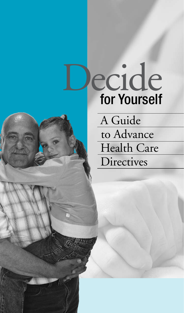# Decide for Yourself

A Guide to Advance Health Care **Directives**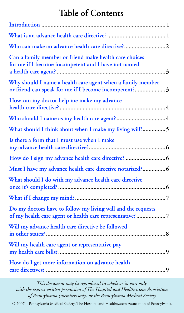# **Table of Contents**

| Who can make an advance health care directive?2                                                                           |
|---------------------------------------------------------------------------------------------------------------------------|
| Can a family member or friend make health care choices<br>for me if I become incompetent and I have not named             |
| Why should I name a health care agent when a family member<br>or friend can speak for me if I become incompetent?3        |
| How can my doctor help me make my advance                                                                                 |
|                                                                                                                           |
| What should I think about when I make my living will? 5                                                                   |
| Is there a form that I must use when I make                                                                               |
|                                                                                                                           |
| Must I have my advance health care directive notarized? 6                                                                 |
| What should I do with my advance health care directive                                                                    |
|                                                                                                                           |
| Do my doctors have to follow my living will and the requests<br>of my health care agent or health care representative?  7 |
| Will my advance health care directive be followed                                                                         |
| Will my health care agent or representative pay                                                                           |
| How do I get more information on advance health                                                                           |

*This document may be reproduced in whole or in part only with the express written permission of The Hospital and Healthsystem Association of Pennsylvania (members only) or the Pennsylvania Medical Society.*

© 2007 – Pennsylvania Medical Society, The Hospital and Healthsystem Association of Pennsylvania.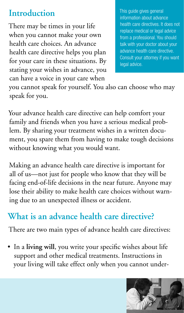# <span id="page-2-0"></span>**Introduction**

There may be times in your life when you cannot make your own health care choices. An advance health care directive helps you plan for your care in these situations. By stating your wishes in advance, you can have a voice in your care when

This guide gives general information about advance health care directives. It does not replace medical or legal advice from a professional. You should talk with your doctor about your advance health care directive. Consult your attorney if you want legal advice.

you cannot speak for yourself. You also can choose who may speak for you.

Your advance health care directive can help comfort your family and friends when you have a serious medical problem. By sharing your treatment wishes in a written document, you spare them from having to make tough decisions without knowing what you would want.

Making an advance health care directive is important for all of us—not just for people who know that they will be facing end-of-life decisions in the near future. Anyone may lose their ability to make health care choices without warning due to an unexpected illness or accident.

# **What is an advance health care directive?**

There are two main types of advance health care directives:

• In a **living will**, you write your specific wishes about life support and other medical treatments. Instructions in your living will take effect only when you cannot under-

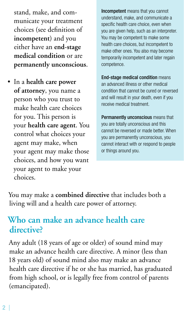<span id="page-3-0"></span>stand, make, and communicate your treatment choices (see definition of **incompetent**) and you either have an **end-stage medical condition** or are **permanently unconscious**.

• In a **health care power of attorney**, you name a person who you trust to make health care choices for you. This person is your **health care agent**. You control what choices your agent may make, when your agent may make those choices, and how you want your agent to make your choices.

Incompetent means that you cannot understand, make, and communicate a specific health care choice, even when you are given help, such as an interpreter. You may be competent to make some health care choices, but incompetent to make other ones. You also may become temporarily incompetent and later regain competence.

End-stage medical condition means an advanced illness or other medical condition that cannot be cured or reversed and will result in your death, even if you receive medical treatment.

Permanently unconscious means that you are totally unconscious and this cannot be reversed or made better. When you are permanently unconscious, you cannot interact with or respond to people or things around you.

You may make a **combined directive** that includes both a living will and a health care power of attorney.

### **Who can make an advance health care directive?**

Any adult (18 years of age or older) of sound mind may make an advance health care directive. A minor (less than 18 years old) of sound mind also may make an advance health care directive if he or she has married, has graduated from high school, or is legally free from control of parents (emancipated).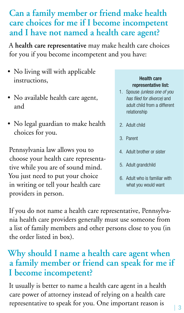#### $\vert 3$

### <span id="page-4-0"></span>**Can a family member or friend make health care choices for me if I become incompetent and I have not named a health care agent?**

A **health care representative** may make health care choices for you if you become incompetent and you have:

- No living will with applicable instructions,
- No available health care agent, and
- No legal guardian to make health choices for you.

Pennsylvania law allows you to choose your health care representative while you are of sound mind. You just need to put your choice in writing or tell your health care providers in person.

#### Health care representative list:

- 1. Spouse *(unless one of you has filed for divorce)* and adult child from a different relationship
- 2. Adult child
- 3. Parent
- 4. Adult brother or sister
- 5. Adult grandchild
- 6. Adult who is familiar with what you would want

If you do not name a health care representative, Pennsylvania health care providers generally must use someone from a list of family members and other persons close to you (in the order listed in box).

# **Why should I name a health care agent when a family member or friend can speak for me if I become incompetent?**

It usually is better to name a health care agent in a health care power of attorney instead of relying on a health care representative to speak for you. One important reason is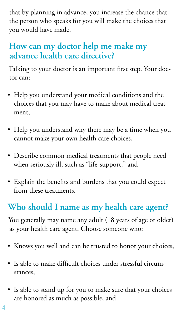<span id="page-5-0"></span>that by planning in advance, you increase the chance that the person who speaks for you will make the choices that you would have made.

# **How can my doctor help me make my advance health care directive?**

Talking to your doctor is an important first step. Your doctor can:

- Help you understand your medical conditions and the choices that you may have to make about medical treatment,
- Help you understand why there may be a time when you cannot make your own health care choices,
- Describe common medical treatments that people need when seriously ill, such as "life-support," and
- Explain the benefits and burdens that you could expect from these treatments.

# **Who should I name as my health care agent?**

You generally may name any adult (18 years of age or older) as your health care agent. Choose someone who:

- Knows you well and can be trusted to honor your choices,
- Is able to make difficult choices under stressful circumstances,
- Is able to stand up for you to make sure that your choices are honored as much as possible, and
- $4<sup>1</sup>$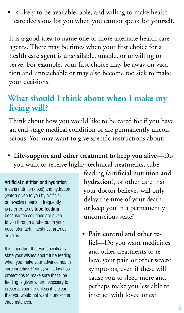<span id="page-6-0"></span>• Is likely to be available, able, and willing to make health care decisions for you when you cannot speak for yourself.

It is a good idea to name one or more alternate health care agents. There may be times when your first choice for a health care agent is unavailable, unable, or unwilling to serve. For example, your first choice may be away on vacation and unreachable or may also become too sick to make your decisions.

### **What should I think about when I make my living will?**

Think about how you would like to be cared for if you have an end-stage medical condition or are permanently unconscious. You may want to give specific instructions about:

• **Life-support and other treatment to keep you alive—**Do you want to receive highly technical treatments, tube

#### Artificial nutrition and hydration

means nutrition (food) and hydration (water) given to you by artificial or invasive means. It frequently is referred to as tube feeding because the solutions are given to you through a tube put in your nose, stomach, intestines, arteries, or veins.

It is important that you specifically state your wishes about tube feeding when you make your advance health care directive. Pennsylvania law has protections to make sure that tube feeding is given when necessary to preserve your life unless it is clear that you would not want it under the circumstances.

feeding (**artificial nutrition and hydration**), or other care that your doctor believes will only delay the time of your death or keep you in a permanently unconscious state?

• **Pain control and other relief—**Do you want medicines and other treatments to relieve your pain or other severe symptoms, even if these will cause you to sleep more and perhaps make you less able to interact with loved ones?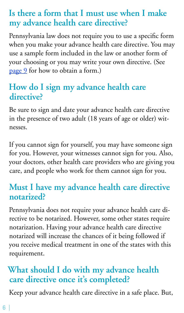# <span id="page-7-0"></span>**Is there a form that I must use when I make my advance health care directive?**

Pennsylvania law does not require you to use a specific form when you make your advance health care directive. You may use a sample form included in the law or another form of your choosing or you may write your own directive. (See [page 9](#page-10-0) for how to obtain a form.)

# **How do I sign my advance health care directive?**

Be sure to sign and date your advance health care directive in the presence of two adult (18 years of age or older) witnesses.

If you cannot sign for yourself, you may have someone sign for you. However, your witnesses cannot sign for you. Also, your doctors, other health care providers who are giving you care, and people who work for them cannot sign for you.

## **Must I have my advance health care directive notarized?**

Pennsylvania does not require your advance health care directive to be notarized. However, some other states require notarization. Having your advance health care directive notarized will increase the chances of it being followed if you receive medical treatment in one of the states with this requirement.

# **What should I do with my advance health care directive once it's completed?**

Keep your advance health care directive in a safe place. But,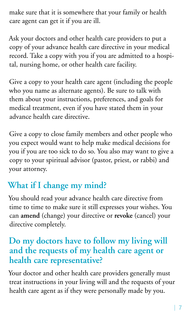<span id="page-8-0"></span>make sure that it is somewhere that your family or health care agent can get it if you are ill.

Ask your doctors and other health care providers to put a copy of your advance health care directive in your medical record. Take a copy with you if you are admitted to a hospital, nursing home, or other health care facility.

Give a copy to your health care agent (including the people who you name as alternate agents). Be sure to talk with them about your instructions, preferences, and goals for medical treatment, even if you have stated them in your advance health care directive.

Give a copy to close family members and other people who you expect would want to help make medical decisions for you if you are too sick to do so. You also may want to give a copy to your spiritual advisor (pastor, priest, or rabbi) and your attorney.

# **What if I change my mind?**

You should read your advance health care directive from time to time to make sure it still expresses your wishes. You can **amend** (change) your directive or **revoke** (cancel) your directive completely.

# **Do my doctors have to follow my living will and the requests of my health care agent or health care representative?**

Your doctor and other health care providers generally must treat instructions in your living will and the requests of your health care agent as if they were personally made by you.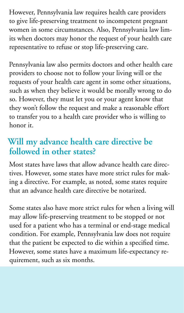<span id="page-9-0"></span>However, Pennsylvania law requires health care providers to give life-preserving treatment to incompetent pregnant women in some circumstances. Also, Pennsylvania law limits when doctors may honor the request of your health care representative to refuse or stop life-preserving care.

Pennsylvania law also permits doctors and other health care providers to choose not to follow your living will or the requests of your health care agent in some other situations, such as when they believe it would be morally wrong to do so. However, they must let you or your agent know that they won't follow the request and make a reasonable effort to transfer you to a health care provider who is willing to honor it.

## **Will my advance health care directive be followed in other states?**

Most states have laws that allow advance health care directives. However, some states have more strict rules for making a directive. For example, as noted, some states require that an advance health care directive be notarized.

Some states also have more strict rules for when a living will may allow life-preserving treatment to be stopped or not used for a patient who has a terminal or end-stage medical condition. For example, Pennsylvania law does not require that the patient be expected to die within a specified time. However, some states have a maximum life-expectancy requirement, such as six months.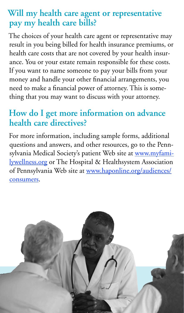# <span id="page-10-0"></span>**Will my health care agent or representative pay my health care bills?**

The choices of your health care agent or representative may result in you being billed for health insurance premiums, or health care costs that are not covered by your health insurance. You or your estate remain responsible for these costs. If you want to name someone to pay your bills from your money and handle your other financial arrangements, you need to make a financial power of attorney. This is something that you may want to discuss with your attorney.

# **How do I get more information on advance health care directives?**

For more information, including sample forms, additional questions and answers, and other resources, go to the Pennsylvania Medical Society's patient Web site at [www.myfami](http://www.myfamilywellness.org)[lywellness.org](http://www.myfamilywellness.org) or The Hospital & Healthsystem Association of Pennsylvania Web site at [www.haponline.org/audiences/](http://www.haponline.org/audiences/consumers/) [consumers.](http://www.haponline.org/audiences/consumers/)